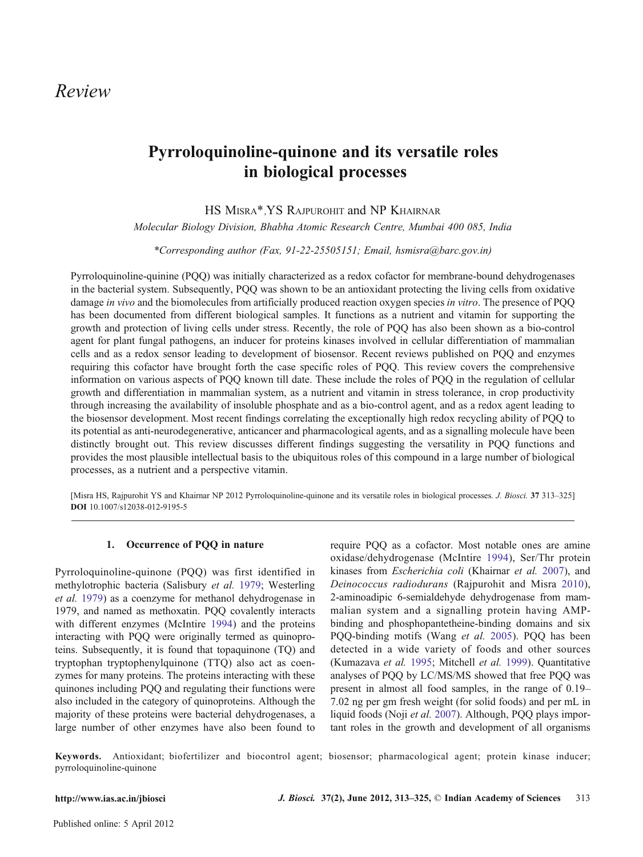# Review

# Pyrroloquinoline-quinone and its versatile roles in biological processes

## HS MISRA\*,YS RAJPUROHIT and NP KHAIRNAR

Molecular Biology Division, Bhabha Atomic Research Centre, Mumbai 400 085, India

\*Corresponding author (Fax, 91-22-25505151; Email, hsmisra@barc.gov.in)

Pyrroloquinoline-quinine (PQQ) was initially characterized as a redox cofactor for membrane-bound dehydrogenases in the bacterial system. Subsequently, PQQ was shown to be an antioxidant protecting the living cells from oxidative damage in vivo and the biomolecules from artificially produced reaction oxygen species in vitro. The presence of PQQ has been documented from different biological samples. It functions as a nutrient and vitamin for supporting the growth and protection of living cells under stress. Recently, the role of PQQ has also been shown as a bio-control agent for plant fungal pathogens, an inducer for proteins kinases involved in cellular differentiation of mammalian cells and as a redox sensor leading to development of biosensor. Recent reviews published on PQQ and enzymes requiring this cofactor have brought forth the case specific roles of PQQ. This review covers the comprehensive information on various aspects of PQQ known till date. These include the roles of PQQ in the regulation of cellular growth and differentiation in mammalian system, as a nutrient and vitamin in stress tolerance, in crop productivity through increasing the availability of insoluble phosphate and as a bio-control agent, and as a redox agent leading to the biosensor development. Most recent findings correlating the exceptionally high redox recycling ability of PQQ to its potential as anti-neurodegenerative, anticancer and pharmacological agents, and as a signalling molecule have been distinctly brought out. This review discusses different findings suggesting the versatility in PQQ functions and provides the most plausible intellectual basis to the ubiquitous roles of this compound in a large number of biological processes, as a nutrient and a perspective vitamin.

[Misra HS, Rajpurohit YS and Khairnar NP 2012 Pyrroloquinoline-quinone and its versatile roles in biological processes. J. Biosci. 37 313-325] DOI 10.1007/s12038-012-9195-5

## 1. Occurrence of PQQ in nature

Pyrroloquinoline-quinone (PQQ) was first identified in methylotrophic bacteria (Salisbury et al. [1979;](#page-11-0) Westerling et al. [1979](#page-12-0)) as a coenzyme for methanol dehydrogenase in 1979, and named as methoxatin. PQQ covalently interacts with different enzymes (McIntire [1994\)](#page-11-0) and the proteins interacting with PQQ were originally termed as quinoproteins. Subsequently, it is found that topaquinone (TQ) and tryptophan tryptophenylquinone (TTQ) also act as coenzymes for many proteins. The proteins interacting with these quinones including PQQ and regulating their functions were also included in the category of quinoproteins. Although the majority of these proteins were bacterial dehydrogenases, a large number of other enzymes have also been found to

require PQQ as a cofactor. Most notable ones are amine oxidase/dehydrogenase (McIntire [1994](#page-11-0)), Ser/Thr protein kinases from Escherichia coli (Khairnar et al. [2007\)](#page-10-0), and Deinococcus radiodurans (Rajpurohit and Misra [2010](#page-11-0)), 2-aminoadipic 6-semialdehyde dehydrogenase from mammalian system and a signalling protein having AMPbinding and phosphopantetheine-binding domains and six PQQ-binding motifs (Wang et al. [2005\)](#page-12-0). PQQ has been detected in a wide variety of foods and other sources (Kumazava et al. [1995](#page-11-0); Mitchell et al. [1999\)](#page-11-0). Quantitative analyses of PQQ by LC/MS/MS showed that free PQQ was present in almost all food samples, in the range of 0.19– 7.02 ng per gm fresh weight (for solid foods) and per mL in liquid foods (Noji et al. [2007\)](#page-11-0). Although, PQQ plays important roles in the growth and development of all organisms

Keywords. Antioxidant; biofertilizer and biocontrol agent; biosensor; pharmacological agent; protein kinase inducer; pyrroloquinoline-quinone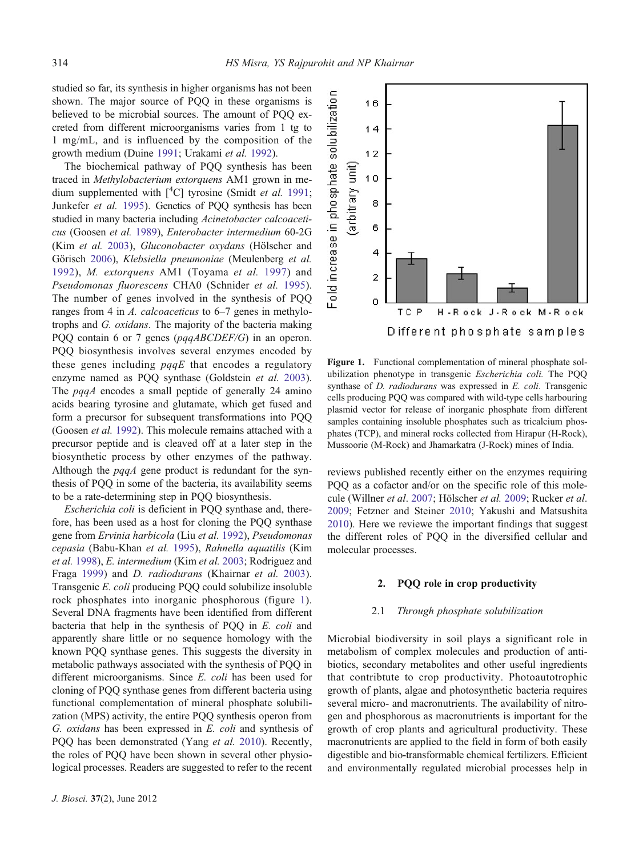studied so far, its synthesis in higher organisms has not been shown. The major source of PQQ in these organisms is believed to be microbial sources. The amount of PQQ excreted from different microorganisms varies from 1 tg to 1 mg/mL, and is influenced by the composition of the growth medium (Duine [1991](#page-10-0); Urakami et al. [1992](#page-12-0)).

The biochemical pathway of PQQ synthesis has been traced in Methylobacterium extorquens AM1 grown in medium supplemented with  $[^{4}C]$  tyrosine (Smidt et al. [1991](#page-11-0); Junkefer et al. [1995\)](#page-10-0). Genetics of PQQ synthesis has been studied in many bacteria including Acinetobacter calcoaceticus (Goosen et al. [1989\)](#page-10-0), Enterobacter intermedium 60-2G (Kim et al. [2003\)](#page-11-0), Gluconobacter oxydans (Hölscher and Görisch [2006](#page-10-0)), Klebsiella pneumoniae (Meulenberg et al. [1992](#page-11-0)), M. extorquens AM1 (Toyama et al. [1997\)](#page-12-0) and Pseudomonas fluorescens CHA0 (Schnider et al. [1995](#page-11-0)). The number of genes involved in the synthesis of PQQ ranges from 4 in A. calcoaceticus to 6–7 genes in methylotrophs and G. oxidans. The majority of the bacteria making PQQ contain 6 or 7 genes (pqqABCDEF/G) in an operon. PQQ biosynthesis involves several enzymes encoded by these genes including  $pqqE$  that encodes a regulatory enzyme named as PQQ synthase (Goldstein et al. [2003](#page-10-0)). The *pqqA* encodes a small peptide of generally 24 amino acids bearing tyrosine and glutamate, which get fused and form a precursor for subsequent transformations into PQQ (Goosen et al. [1992](#page-10-0)). This molecule remains attached with a precursor peptide and is cleaved off at a later step in the biosynthetic process by other enzymes of the pathway. Although the pqqA gene product is redundant for the synthesis of PQQ in some of the bacteria, its availability seems to be a rate-determining step in PQQ biosynthesis.

Escherichia coli is deficient in PQQ synthase and, therefore, has been used as a host for cloning the PQQ synthase gene from Ervinia harbicola (Liu et al. [1992\)](#page-11-0), Pseudomonas cepasia (Babu-Khan et al. [1995](#page-9-0)), Rahnella aquatilis (Kim et al. [1998](#page-10-0)), E. intermedium (Kim et al. [2003](#page-11-0); Rodriguez and Fraga [1999](#page-11-0)) and D. radiodurans (Khairnar et al. [2003](#page-10-0)). Transgenic E. coli producing PQQ could solubilize insoluble rock phosphates into inorganic phosphorous (figure 1). Several DNA fragments have been identified from different bacteria that help in the synthesis of PQQ in E. coli and apparently share little or no sequence homology with the known PQQ synthase genes. This suggests the diversity in metabolic pathways associated with the synthesis of PQQ in different microorganisms. Since E. coli has been used for cloning of PQQ synthase genes from different bacteria using functional complementation of mineral phosphate solubilization (MPS) activity, the entire PQQ synthesis operon from G. oxidans has been expressed in E. coli and synthesis of PQQ has been demonstrated (Yang et al. [2010\)](#page-12-0). Recently, the roles of PQQ have been shown in several other physiological processes. Readers are suggested to refer to the recent



Figure 1. Functional complementation of mineral phosphate solubilization phenotype in transgenic Escherichia coli. The PQQ synthase of *D. radiodurans* was expressed in *E. coli.* Transgenic cells producing PQQ was compared with wild-type cells harbouring plasmid vector for release of inorganic phosphate from different samples containing insoluble phosphates such as tricalcium phosphates (TCP), and mineral rocks collected from Hirapur (H-Rock), Mussoorie (M-Rock) and Jhamarkatra (J-Rock) mines of India.

reviews published recently either on the enzymes requiring PQQ as a cofactor and/or on the specific role of this molecule (Willner et al. [2007](#page-12-0); Hölscher et al. [2009;](#page-10-0) Rucker et al. [2009](#page-11-0); Fetzner and Steiner [2010;](#page-10-0) Yakushi and Matsushita [2010](#page-12-0)). Here we reviewe the important findings that suggest the different roles of PQQ in the diversified cellular and molecular processes.

#### 2. PQQ role in crop productivity

#### 2.1 Through phosphate solubilization

Microbial biodiversity in soil plays a significant role in metabolism of complex molecules and production of antibiotics, secondary metabolites and other useful ingredients that contribtute to crop productivity. Photoautotrophic growth of plants, algae and photosynthetic bacteria requires several micro- and macronutrients. The availability of nitrogen and phosphorous as macronutrients is important for the growth of crop plants and agricultural productivity. These macronutrients are applied to the field in form of both easily digestible and bio-transformable chemical fertilizers. Efficient and environmentally regulated microbial processes help in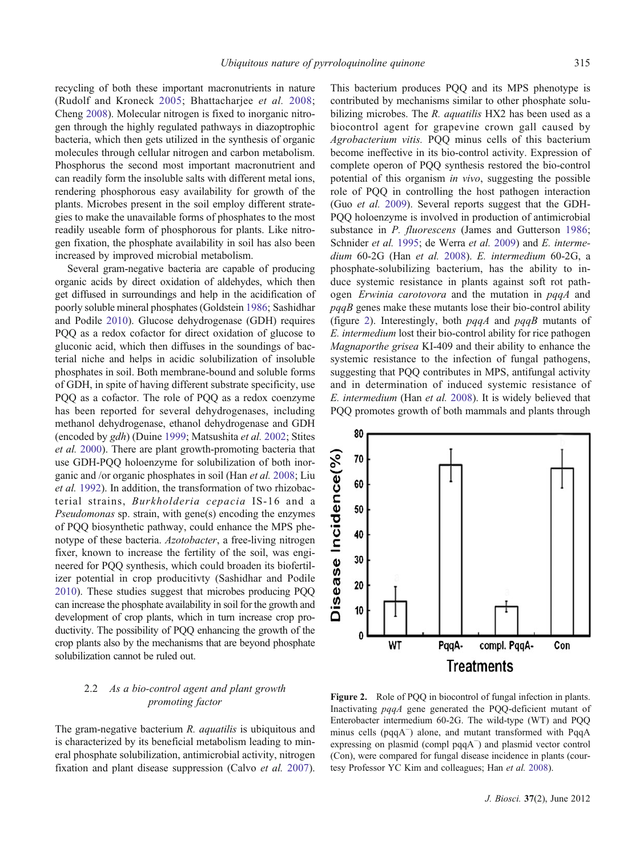recycling of both these important macronutrients in nature (Rudolf and Kroneck [2005;](#page-11-0) Bhattacharjee et al. [2008](#page-9-0); Cheng [2008\)](#page-10-0). Molecular nitrogen is fixed to inorganic nitrogen through the highly regulated pathways in diazoptrophic bacteria, which then gets utilized in the synthesis of organic molecules through cellular nitrogen and carbon metabolism. Phosphorus the second most important macronutrient and can readily form the insoluble salts with different metal ions, rendering phosphorous easy availability for growth of the plants. Microbes present in the soil employ different strategies to make the unavailable forms of phosphates to the most readily useable form of phosphorous for plants. Like nitrogen fixation, the phosphate availability in soil has also been increased by improved microbial metabolism.

Several gram-negative bacteria are capable of producing organic acids by direct oxidation of aldehydes, which then get diffused in surroundings and help in the acidification of poorly soluble mineral phosphates (Goldstein [1986;](#page-10-0) Sashidhar and Podile [2010\)](#page-11-0). Glucose dehydrogenase (GDH) requires PQQ as a redox cofactor for direct oxidation of glucose to gluconic acid, which then diffuses in the soundings of bacterial niche and helps in acidic solubilization of insoluble phosphates in soil. Both membrane-bound and soluble forms of GDH, in spite of having different substrate specificity, use PQQ as a cofactor. The role of PQQ as a redox coenzyme has been reported for several dehydrogenases, including methanol dehydrogenase, ethanol dehydrogenase and GDH (encoded by gdh) (Duine [1999](#page-10-0); Matsushita et al. [2002](#page-11-0); Stites et al. [2000](#page-12-0)). There are plant growth-promoting bacteria that use GDH-PQQ holoenzyme for solubilization of both inorganic and /or organic phosphates in soil (Han et al. [2008](#page-10-0); Liu et al. [1992\)](#page-11-0). In addition, the transformation of two rhizobacterial strains, Burkholderia cepacia IS-16 and a Pseudomonas sp. strain, with gene(s) encoding the enzymes of PQQ biosynthetic pathway, could enhance the MPS phenotype of these bacteria. Azotobacter, a free-living nitrogen fixer, known to increase the fertility of the soil, was engineered for PQQ synthesis, which could broaden its biofertilizer potential in crop producitivty (Sashidhar and Podile [2010](#page-11-0)). These studies suggest that microbes producing PQQ can increase the phosphate availability in soil for the growth and development of crop plants, which in turn increase crop productivity. The possibility of PQQ enhancing the growth of the crop plants also by the mechanisms that are beyond phosphate solubilization cannot be ruled out.

## 2.2 As a bio-control agent and plant growth promoting factor

The gram-negative bacterium R. *aquatilis* is ubiquitous and is characterized by its beneficial metabolism leading to mineral phosphate solubilization, antimicrobial activity, nitrogen fixation and plant disease suppression (Calvo *et al.* [2007](#page-10-0)).

This bacterium produces PQQ and its MPS phenotype is contributed by mechanisms similar to other phosphate solubilizing microbes. The R. *aquatilis* HX2 has been used as a biocontrol agent for grapevine crown gall caused by Agrobacterium vitis. PQQ minus cells of this bacterium become ineffective in its bio-control activity. Expression of complete operon of PQQ synthesis restored the bio-control potential of this organism in vivo, suggesting the possible role of PQQ in controlling the host pathogen interaction (Guo et al. [2009\)](#page-10-0). Several reports suggest that the GDH-PQQ holoenzyme is involved in production of antimicrobial substance in *P. fluorescens* (James and Gutterson [1986](#page-10-0); Schnider et al. [1995](#page-11-0); de Werra et al. [2009](#page-10-0)) and E. intermedium 60-2G (Han et al. [2008\)](#page-10-0). E. intermedium 60-2G, a phosphate-solubilizing bacterium, has the ability to induce systemic resistance in plants against soft rot pathogen Erwinia carotovora and the mutation in pqqA and  $pqqB$  genes make these mutants lose their bio-control ability (figure 2). Interestingly, both  $pqqA$  and  $pqqB$  mutants of E. intermedium lost their bio-control ability for rice pathogen Magnaporthe grisea KI-409 and their ability to enhance the systemic resistance to the infection of fungal pathogens, suggesting that PQQ contributes in MPS, antifungal activity and in determination of induced systemic resistance of E. intermedium (Han et al. [2008\)](#page-10-0). It is widely believed that PQQ promotes growth of both mammals and plants through



Figure 2. Role of POO in biocontrol of fungal infection in plants. Inactivating *pqqA* gene generated the PQQ-deficient mutant of Enterobacter intermedium 60-2G. The wild-type (WT) and PQQ minus cells (pqqA<sup>−</sup> ) alone, and mutant transformed with PqqA expressing on plasmid (compl pqqA<sup>−</sup> ) and plasmid vector control (Con), were compared for fungal disease incidence in plants (courtesy Professor YC Kim and colleagues; Han et al. [2008\)](#page-10-0).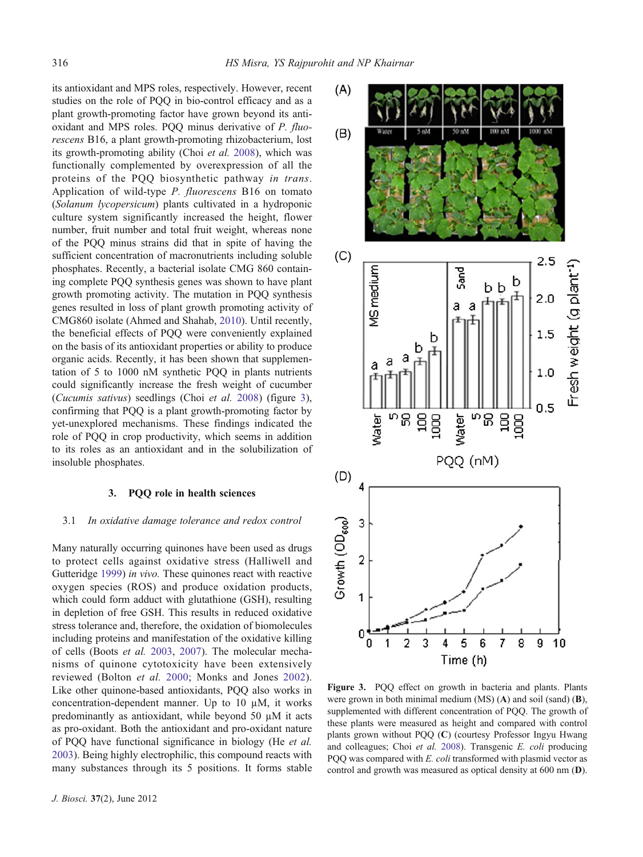its antioxidant and MPS roles, respectively. However, recent studies on the role of PQQ in bio-control efficacy and as a plant growth-promoting factor have grown beyond its antioxidant and MPS roles. PQQ minus derivative of P. fluorescens B16, a plant growth-promoting rhizobacterium, lost its growth-promoting ability (Choi et al. [2008\)](#page-10-0), which was functionally complemented by overexpression of all the proteins of the PQQ biosynthetic pathway in trans. Application of wild-type P. fluorescens B16 on tomato (Solanum lycopersicum) plants cultivated in a hydroponic culture system significantly increased the height, flower number, fruit number and total fruit weight, whereas none of the PQQ minus strains did that in spite of having the sufficient concentration of macronutrients including soluble phosphates. Recently, a bacterial isolate CMG 860 containing complete PQQ synthesis genes was shown to have plant growth promoting activity. The mutation in PQQ synthesis genes resulted in loss of plant growth promoting activity of CMG860 isolate (Ahmed and Shahab, [2010\)](#page-9-0). Until recently, the beneficial effects of PQQ were conveniently explained on the basis of its antioxidant properties or ability to produce organic acids. Recently, it has been shown that supplementation of 5 to 1000 nM synthetic PQQ in plants nutrients could significantly increase the fresh weight of cucumber (Cucumis sativus) seedlings (Choi et al. [2008\)](#page-10-0) (figure 3), confirming that PQQ is a plant growth-promoting factor by yet-unexplored mechanisms. These findings indicated the role of PQQ in crop productivity, which seems in addition to its roles as an antioxidant and in the solubilization of insoluble phosphates.

#### 3. PQQ role in health sciences

### 3.1 In oxidative damage tolerance and redox control

Many naturally occurring quinones have been used as drugs to protect cells against oxidative stress (Halliwell and Gutteridge [1999](#page-10-0)) in vivo. These quinones react with reactive oxygen species (ROS) and produce oxidation products, which could form adduct with glutathione (GSH), resulting in depletion of free GSH. This results in reduced oxidative stress tolerance and, therefore, the oxidation of biomolecules including proteins and manifestation of the oxidative killing of cells (Boots et al. [2003,](#page-10-0) [2007\)](#page-10-0). The molecular mechanisms of quinone cytotoxicity have been extensively reviewed (Bolton et al. [2000;](#page-10-0) Monks and Jones [2002](#page-11-0)). Like other quinone-based antioxidants, PQQ also works in concentration-dependent manner. Up to 10 μM, it works predominantly as antioxidant, while beyond 50 μM it acts as pro-oxidant. Both the antioxidant and pro-oxidant nature of PQQ have functional significance in biology (He et al. [2003](#page-10-0)). Being highly electrophilic, this compound reacts with many substances through its 5 positions. It forms stable



Figure 3. PQQ effect on growth in bacteria and plants. Plants were grown in both minimal medium (MS) (A) and soil (sand) (B), supplemented with different concentration of PQQ. The growth of these plants were measured as height and compared with control plants grown without PQQ (C) (courtesy Professor Ingyu Hwang and colleagues; Choi et al. [2008\)](#page-10-0). Transgenic E. coli producing PQQ was compared with E. coli transformed with plasmid vector as control and growth was measured as optical density at 600 nm (D).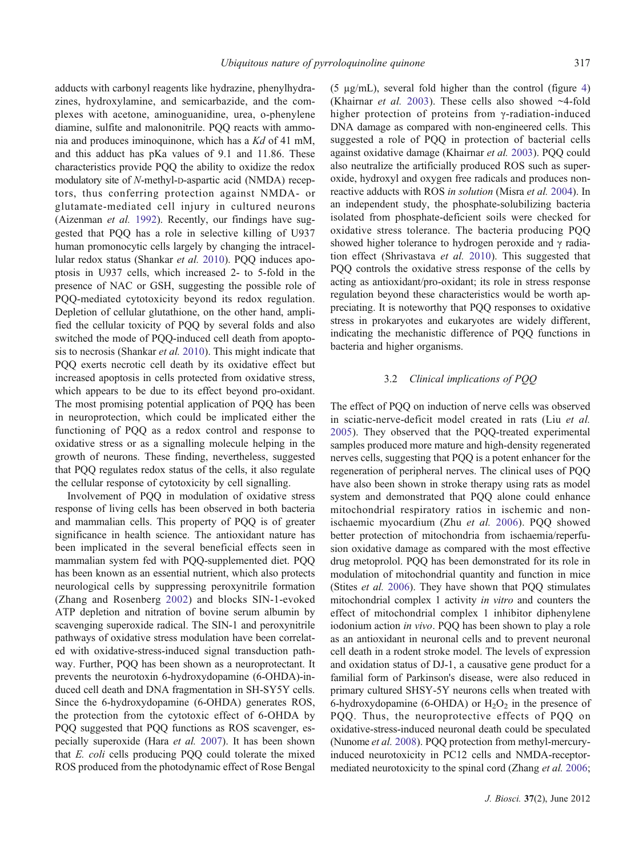adducts with carbonyl reagents like hydrazine, phenylhydrazines, hydroxylamine, and semicarbazide, and the complexes with acetone, aminoguanidine, urea, o-phenylene diamine, sulfite and malononitrile. PQQ reacts with ammonia and produces iminoquinone, which has a Kd of 41 mM, and this adduct has pKa values of 9.1 and 11.86. These characteristics provide PQQ the ability to oxidize the redox modulatory site of N-methyl-D-aspartic acid (NMDA) receptors, thus conferring protection against NMDA- or glutamate-mediated cell injury in cultured neurons (Aizenman *et al.* [1992](#page-9-0)). Recently, our findings have suggested that PQQ has a role in selective killing of U937 human promonocytic cells largely by changing the intracellular redox status (Shankar et al. [2010](#page-11-0)). PQQ induces apoptosis in U937 cells, which increased 2- to 5-fold in the presence of NAC or GSH, suggesting the possible role of PQQ-mediated cytotoxicity beyond its redox regulation. Depletion of cellular glutathione, on the other hand, amplified the cellular toxicity of PQQ by several folds and also switched the mode of PQQ-induced cell death from apoptosis to necrosis (Shankar et al. [2010\)](#page-11-0). This might indicate that PQQ exerts necrotic cell death by its oxidative effect but increased apoptosis in cells protected from oxidative stress, which appears to be due to its effect beyond pro-oxidant. The most promising potential application of PQQ has been in neuroprotection, which could be implicated either the functioning of PQQ as a redox control and response to oxidative stress or as a signalling molecule helping in the growth of neurons. These finding, nevertheless, suggested that PQQ regulates redox status of the cells, it also regulate the cellular response of cytotoxicity by cell signalling.

Involvement of PQQ in modulation of oxidative stress response of living cells has been observed in both bacteria and mammalian cells. This property of PQQ is of greater significance in health science. The antioxidant nature has been implicated in the several beneficial effects seen in mammalian system fed with PQQ-supplemented diet. PQQ has been known as an essential nutrient, which also protects neurological cells by suppressing peroxynitrile formation (Zhang and Rosenberg [2002\)](#page-12-0) and blocks SIN-1-evoked ATP depletion and nitration of bovine serum albumin by scavenging superoxide radical. The SIN-1 and peroxynitrile pathways of oxidative stress modulation have been correlated with oxidative-stress-induced signal transduction pathway. Further, PQQ has been shown as a neuroprotectant. It prevents the neurotoxin 6-hydroxydopamine (6-OHDA)-induced cell death and DNA fragmentation in SH-SY5Y cells. Since the 6-hydroxydopamine (6-OHDA) generates ROS, the protection from the cytotoxic effect of 6-OHDA by PQQ suggested that PQQ functions as ROS scavenger, especially superoxide (Hara et al. [2007\)](#page-10-0). It has been shown that E. coli cells producing PQQ could tolerate the mixed ROS produced from the photodynamic effect of Rose Bengal

(5 μg/mL), several fold higher than the control (figure [4\)](#page-5-0) (Khairnar et al. [2003\)](#page-10-0). These cells also showed ~4-fold higher protection of proteins from γ-radiation-induced DNA damage as compared with non-engineered cells. This suggested a role of PQQ in protection of bacterial cells against oxidative damage (Khairnar et al. [2003\)](#page-10-0). PQQ could also neutralize the artificially produced ROS such as superoxide, hydroxyl and oxygen free radicals and produces nonreactive adducts with ROS in solution (Misra et al. [2004\)](#page-11-0). In an independent study, the phosphate-solubilizing bacteria isolated from phosphate-deficient soils were checked for oxidative stress tolerance. The bacteria producing PQQ showed higher tolerance to hydrogen peroxide and  $\gamma$  radiation effect (Shrivastava et al. [2010](#page-11-0)). This suggested that PQQ controls the oxidative stress response of the cells by acting as antioxidant/pro-oxidant; its role in stress response regulation beyond these characteristics would be worth appreciating. It is noteworthy that PQQ responses to oxidative stress in prokaryotes and eukaryotes are widely different, indicating the mechanistic difference of PQQ functions in bacteria and higher organisms.

#### 3.2 Clinical implications of PQQ

The effect of PQQ on induction of nerve cells was observed in sciatic-nerve-deficit model created in rats (Liu et al. [2005](#page-11-0)). They observed that the PQQ-treated experimental samples produced more mature and high-density regenerated nerves cells, suggesting that PQQ is a potent enhancer for the regeneration of peripheral nerves. The clinical uses of PQQ have also been shown in stroke therapy using rats as model system and demonstrated that PQQ alone could enhance mitochondrial respiratory ratios in ischemic and nonischaemic myocardium (Zhu et al. [2006](#page-12-0)). PQQ showed better protection of mitochondria from ischaemia/reperfusion oxidative damage as compared with the most effective drug metoprolol. PQQ has been demonstrated for its role in modulation of mitochondrial quantity and function in mice (Stites et al. [2006\)](#page-12-0). They have shown that PQQ stimulates mitochondrial complex 1 activity in vitro and counters the effect of mitochondrial complex 1 inhibitor diphenylene iodonium action in vivo. PQQ has been shown to play a role as an antioxidant in neuronal cells and to prevent neuronal cell death in a rodent stroke model. The levels of expression and oxidation status of DJ-1, a causative gene product for a familial form of Parkinson's disease, were also reduced in primary cultured SHSY-5Y neurons cells when treated with 6-hydroxydopamine (6-OHDA) or  $H_2O_2$  in the presence of PQQ. Thus, the neuroprotective effects of PQQ on oxidative-stress-induced neuronal death could be speculated (Nunome et al. [2008](#page-11-0)). PQQ protection from methyl-mercuryinduced neurotoxicity in PC12 cells and NMDA-receptormediated neurotoxicity to the spinal cord (Zhang et al. [2006](#page-12-0);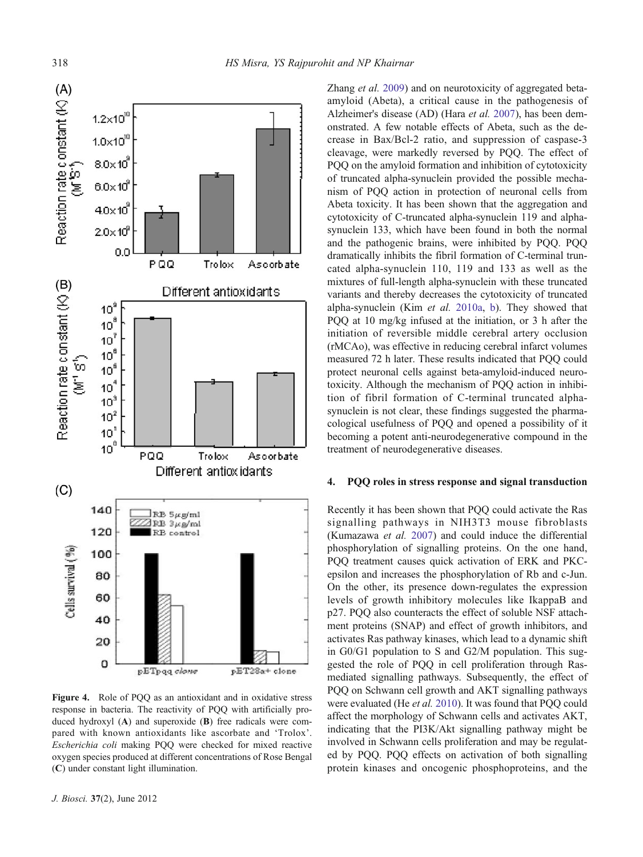<span id="page-5-0"></span>

Figure 4. Role of PQQ as an antioxidant and in oxidative stress response in bacteria. The reactivity of PQQ with artificially produced hydroxyl (A) and superoxide (B) free radicals were compared with known antioxidants like ascorbate and 'Trolox'. Escherichia coli making PQQ were checked for mixed reactive oxygen species produced at different concentrations of Rose Bengal (C) under constant light illumination.

Zhang et al. [2009\)](#page-12-0) and on neurotoxicity of aggregated betaamyloid (Abeta), a critical cause in the pathogenesis of Alzheimer's disease (AD) (Hara et al. [2007](#page-10-0)), has been demonstrated. A few notable effects of Abeta, such as the decrease in Bax/Bcl-2 ratio, and suppression of caspase-3 cleavage, were markedly reversed by PQQ. The effect of PQQ on the amyloid formation and inhibition of cytotoxicity of truncated alpha-synuclein provided the possible mechanism of PQQ action in protection of neuronal cells from Abeta toxicity. It has been shown that the aggregation and cytotoxicity of C-truncated alpha-synuclein 119 and alphasynuclein 133, which have been found in both the normal and the pathogenic brains, were inhibited by PQQ. PQQ dramatically inhibits the fibril formation of C-terminal truncated alpha-synuclein 110, 119 and 133 as well as the mixtures of full-length alpha-synuclein with these truncated variants and thereby decreases the cytotoxicity of truncated alpha-synuclein (Kim et al. [2010a](#page-11-0), [b](#page-11-0)). They showed that PQQ at 10 mg/kg infused at the initiation, or 3 h after the initiation of reversible middle cerebral artery occlusion (rMCAo), was effective in reducing cerebral infarct volumes measured 72 h later. These results indicated that PQQ could protect neuronal cells against beta-amyloid-induced neurotoxicity. Although the mechanism of PQQ action in inhibition of fibril formation of C-terminal truncated alphasynuclein is not clear, these findings suggested the pharmacological usefulness of PQQ and opened a possibility of it becoming a potent anti-neurodegenerative compound in the treatment of neurodegenerative diseases.

# 4. PQQ roles in stress response and signal transduction

Recently it has been shown that PQQ could activate the Ras signalling pathways in NIH3T3 mouse fibroblasts (Kumazawa et al. [2007](#page-11-0)) and could induce the differential phosphorylation of signalling proteins. On the one hand, PQQ treatment causes quick activation of ERK and PKCepsilon and increases the phosphorylation of Rb and c-Jun. On the other, its presence down-regulates the expression levels of growth inhibitory molecules like IkappaB and p27. PQQ also counteracts the effect of soluble NSF attachment proteins (SNAP) and effect of growth inhibitors, and activates Ras pathway kinases, which lead to a dynamic shift in G0/G1 population to S and G2/M population. This suggested the role of PQQ in cell proliferation through Rasmediated signalling pathways. Subsequently, the effect of PQQ on Schwann cell growth and AKT signalling pathways were evaluated (He et al. [2010\)](#page-10-0). It was found that PQQ could affect the morphology of Schwann cells and activates AKT, indicating that the PI3K/Akt signalling pathway might be involved in Schwann cells proliferation and may be regulated by PQQ. PQQ effects on activation of both signalling protein kinases and oncogenic phosphoproteins, and the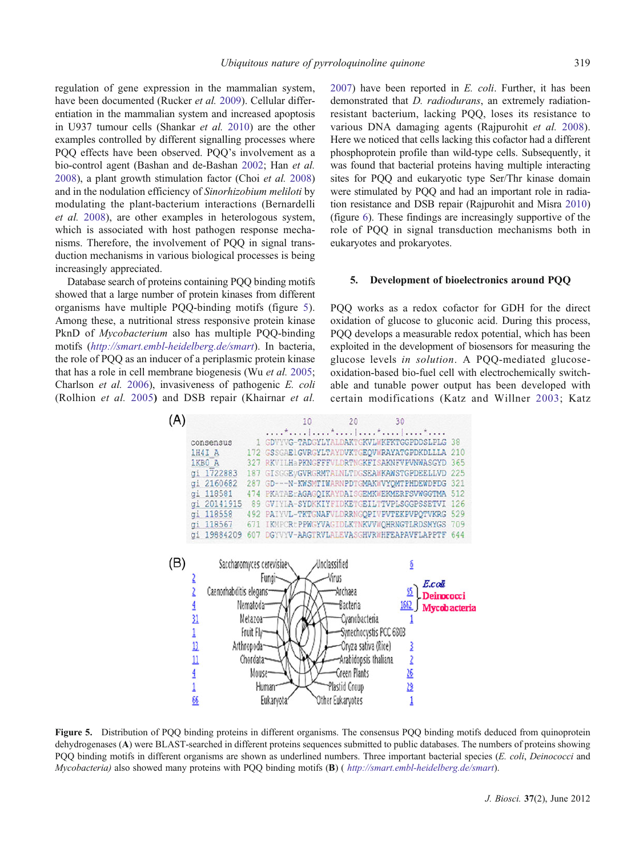regulation of gene expression in the mammalian system, have been documented (Rucker et al. [2009\)](#page-11-0). Cellular differentiation in the mammalian system and increased apoptosis in U937 tumour cells (Shankar et al. [2010](#page-11-0)) are the other examples controlled by different signalling processes where PQQ effects have been observed. PQQ's involvement as a bio-control agent (Bashan and de-Bashan [2002](#page-9-0); Han et al. [2008](#page-10-0)), a plant growth stimulation factor (Choi et al. [2008\)](#page-10-0) and in the nodulation efficiency of Sinorhizobium meliloti by modulating the plant-bacterium interactions (Bernardelli et al. [2008](#page-9-0)), are other examples in heterologous system, which is associated with host pathogen response mechanisms. Therefore, the involvement of PQQ in signal transduction mechanisms in various biological processes is being increasingly appreciated.

Database search of proteins containing PQQ binding motifs showed that a large number of protein kinases from different organisms have multiple PQQ-binding motifs (figure 5). Among these, a nutritional stress responsive protein kinase PknD of *Mycobacterium* also has multiple PQQ-binding motifs (<http://smart.embl-heidelberg.de/smart>). In bacteria, the role of PQQ as an inducer of a periplasmic protein kinase that has a role in cell membrane biogenesis (Wu et al. [2005](#page-12-0); Charlson et al. [2006\)](#page-10-0), invasiveness of pathogenic E. coli (Rolhion et al. [2005](#page-11-0)) and DSB repair (Khairnar et al.

 $2007$ ) have been reported in E. coli. Further, it has been demonstrated that *D. radiodurans*, an extremely radiationresistant bacterium, lacking PQQ, loses its resistance to various DNA damaging agents (Rajpurohit et al. [2008](#page-11-0)). Here we noticed that cells lacking this cofactor had a different phosphoprotein profile than wild-type cells. Subsequently, it was found that bacterial proteins having multiple interacting sites for PQQ and eukaryotic type Ser/Thr kinase domain were stimulated by PQQ and had an important role in radiation resistance and DSB repair (Rajpurohit and Misra [2010\)](#page-11-0) (figure [6](#page-7-0)). These findings are increasingly supportive of the role of PQQ in signal transduction mechanisms both in eukaryotes and prokaryotes.

### 5. Development of bioelectronics around PQQ

PQQ works as a redox cofactor for GDH for the direct oxidation of glucose to gluconic acid. During this process, PQQ develops a measurable redox potential, which has been exploited in the development of biosensors for measuring the glucose levels in solution. A PQQ-mediated glucoseoxidation-based bio-fuel cell with electrochemically switchable and tunable power output has been developed with certain modifications (Katz and Willner [2003;](#page-10-0) Katz



Figure 5. Distribution of PQQ binding proteins in different organisms. The consensus PQQ binding motifs deduced from quinoprotein dehydrogenases (A) were BLAST-searched in different proteins sequences submitted to public databases. The numbers of proteins showing POO binding motifs in different organisms are shown as underlined numbers. Three important bacterial species (E. coli, Deinococci and Mycobacteria) also showed many proteins with PQQ binding motifs (B) ( <http://smart.embl-heidelberg.de/smart>).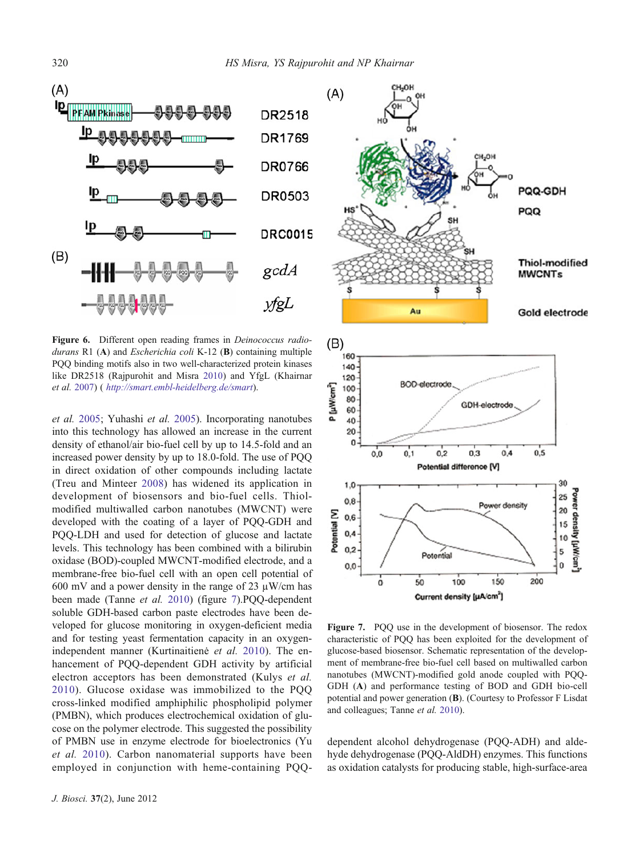<span id="page-7-0"></span>

Figure 6. Different open reading frames in *Deinococcus radio*durans R1  $(A)$  and *Escherichia coli* K-12  $(B)$  containing multiple PQQ binding motifs also in two well-characterized protein kinases like DR2518 (Rajpurohit and Misra [2010\)](#page-11-0) and YfgL (Khairnar et al. [2007](#page-10-0)) ( <http://smart.embl-heidelberg.de/smart>).

et al. [2005](#page-10-0); Yuhashi et al. [2005\)](#page-12-0). Incorporating nanotubes into this technology has allowed an increase in the current density of ethanol/air bio-fuel cell by up to 14.5-fold and an increased power density by up to 18.0-fold. The use of PQQ in direct oxidation of other compounds including lactate (Treu and Minteer [2008\)](#page-12-0) has widened its application in development of biosensors and bio-fuel cells. Thiolmodified multiwalled carbon nanotubes (MWCNT) were developed with the coating of a layer of PQQ-GDH and PQQ-LDH and used for detection of glucose and lactate levels. This technology has been combined with a bilirubin oxidase (BOD)-coupled MWCNT-modified electrode, and a membrane-free bio-fuel cell with an open cell potential of 600 mV and a power density in the range of 23  $\mu$ W/cm has been made (Tanne *et al.* [2010\)](#page-12-0) (figure 7). POO-dependent soluble GDH-based carbon paste electrodes have been developed for glucose monitoring in oxygen-deficient media and for testing yeast fermentation capacity in an oxygenindependent manner (Kurtinaitienė et al. [2010\)](#page-11-0). The enhancement of PQQ-dependent GDH activity by artificial electron acceptors has been demonstrated (Kulys et al. [2010\)](#page-11-0). Glucose oxidase was immobilized to the PQQ cross-linked modified amphiphilic phospholipid polymer (PMBN), which produces electrochemical oxidation of glucose on the polymer electrode. This suggested the possibility of PMBN use in enzyme electrode for bioelectronics (Yu et al. [2010\)](#page-12-0). Carbon nanomaterial supports have been employed in conjunction with heme-containing PQQ-



Figure 7. PQQ use in the development of biosensor. The redox characteristic of PQQ has been exploited for the development of glucose-based biosensor. Schematic representation of the development of membrane-free bio-fuel cell based on multiwalled carbon nanotubes (MWCNT)-modified gold anode coupled with PQQ-GDH (A) and performance testing of BOD and GDH bio-cell potential and power generation (B). (Courtesy to Professor F Lisdat and colleagues; Tanne et al. [2010\)](#page-12-0).

dependent alcohol dehydrogenase (PQQ-ADH) and aldehyde dehydrogenase (PQQ-AldDH) enzymes. This functions as oxidation catalysts for producing stable, high-surface-area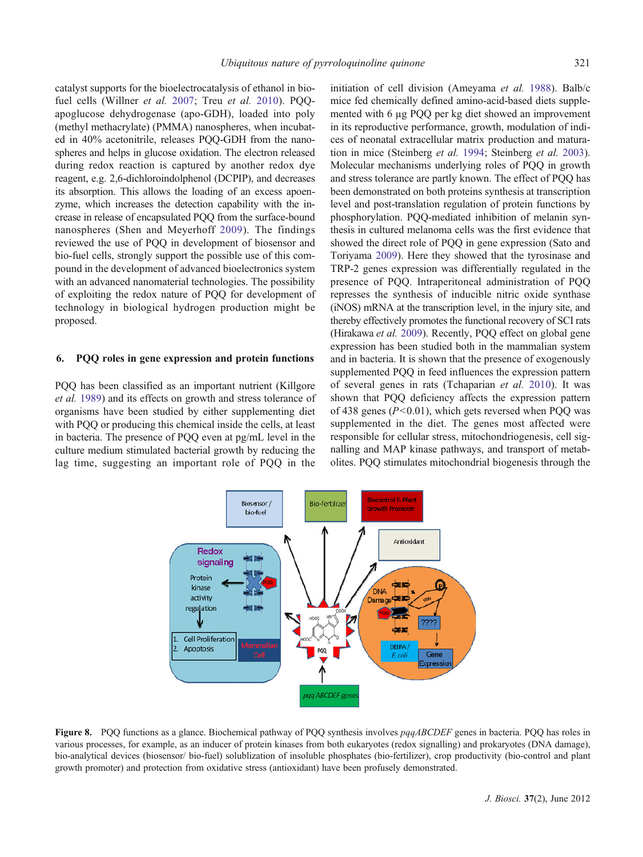<span id="page-8-0"></span>catalyst supports for the bioelectrocatalysis of ethanol in bio-fuel cells (Willner et al. [2007](#page-12-0); Treu et al. [2010](#page-12-0)). PQQapoglucose dehydrogenase (apo-GDH), loaded into poly (methyl methacrylate) (PMMA) nanospheres, when incubated in 40% acetonitrile, releases PQQ-GDH from the nanospheres and helps in glucose oxidation. The electron released during redox reaction is captured by another redox dye reagent, e.g. 2,6-dichloroindolphenol (DCPIP), and decreases its absorption. This allows the loading of an excess apoenzyme, which increases the detection capability with the increase in release of encapsulated PQQ from the surface-bound nanospheres (Shen and Meyerhoff [2009](#page-11-0)). The findings reviewed the use of PQQ in development of biosensor and bio-fuel cells, strongly support the possible use of this compound in the development of advanced bioelectronics system with an advanced nanomaterial technologies. The possibility of exploiting the redox nature of PQQ for development of technology in biological hydrogen production might be proposed.

#### 6. PQQ roles in gene expression and protein functions

PQQ has been classified as an important nutrient (Killgore et al. [1989](#page-10-0)) and its effects on growth and stress tolerance of organisms have been studied by either supplementing diet with PQQ or producing this chemical inside the cells, at least in bacteria. The presence of PQQ even at pg/mL level in the culture medium stimulated bacterial growth by reducing the lag time, suggesting an important role of PQQ in the

initiation of cell division (Ameyama et al. [1988\)](#page-9-0). Balb/c mice fed chemically defined amino-acid-based diets supplemented with 6 μg PQQ per kg diet showed an improvement in its reproductive performance, growth, modulation of indices of neonatal extracellular matrix production and maturation in mice (Steinberg et al. [1994;](#page-11-0) Steinberg et al. [2003](#page-12-0)). Molecular mechanisms underlying roles of PQQ in growth and stress tolerance are partly known. The effect of PQQ has been demonstrated on both proteins synthesis at transcription level and post-translation regulation of protein functions by phosphorylation. PQQ-mediated inhibition of melanin synthesis in cultured melanoma cells was the first evidence that showed the direct role of PQQ in gene expression (Sato and Toriyama [2009](#page-11-0)). Here they showed that the tyrosinase and TRP-2 genes expression was differentially regulated in the presence of PQQ. Intraperitoneal administration of PQQ represses the synthesis of inducible nitric oxide synthase (iNOS) mRNA at the transcription level, in the injury site, and thereby effectively promotes the functional recovery of SCI rats (Hirakawa et al. [2009](#page-10-0)). Recently, PQQ effect on global gene expression has been studied both in the mammalian system and in bacteria. It is shown that the presence of exogenously supplemented PQQ in feed influences the expression pattern of several genes in rats (Tchaparian et al. [2010\)](#page-12-0). It was shown that PQQ deficiency affects the expression pattern of 438 genes ( $P<0.01$ ), which gets reversed when PQQ was supplemented in the diet. The genes most affected were responsible for cellular stress, mitochondriogenesis, cell signalling and MAP kinase pathways, and transport of metabolites. PQQ stimulates mitochondrial biogenesis through the



Figure 8. PQQ functions as a glance. Biochemical pathway of PQQ synthesis involves pqqABCDEF genes in bacteria. PQQ has roles in various processes, for example, as an inducer of protein kinases from both eukaryotes (redox signalling) and prokaryotes (DNA damage), bio-analytical devices (biosensor/ bio-fuel) solublization of insoluble phosphates (bio-fertilizer), crop productivity (bio-control and plant growth promoter) and protection from oxidative stress (antioxidant) have been profusely demonstrated.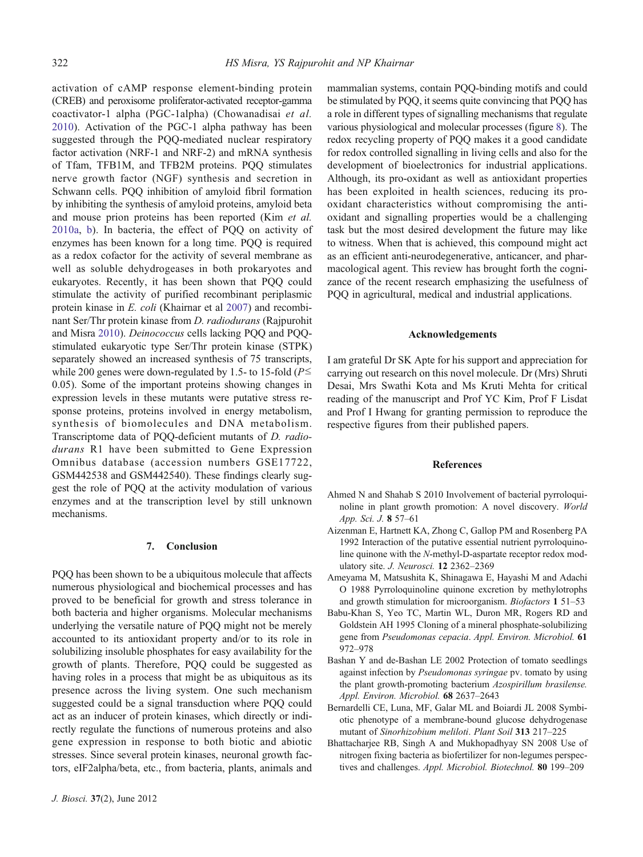<span id="page-9-0"></span>activation of cAMP response element-binding protein (CREB) and peroxisome proliferator-activated receptor-gamma coactivator-1 alpha (PGC-1alpha) (Chowanadisai et al. [2010](#page-10-0)). Activation of the PGC-1 alpha pathway has been suggested through the PQQ-mediated nuclear respiratory factor activation (NRF-1 and NRF-2) and mRNA synthesis of Tfam, TFB1M, and TFB2M proteins. PQQ stimulates nerve growth factor (NGF) synthesis and secretion in Schwann cells. PQQ inhibition of amyloid fibril formation by inhibiting the synthesis of amyloid proteins, amyloid beta and mouse prion proteins has been reported (Kim et al. [2010a](#page-11-0), [b](#page-11-0)). In bacteria, the effect of PQQ on activity of enzymes has been known for a long time. PQQ is required as a redox cofactor for the activity of several membrane as well as soluble dehydrogeases in both prokaryotes and eukaryotes. Recently, it has been shown that PQQ could stimulate the activity of purified recombinant periplasmic protein kinase in E. coli (Khairnar et al [2007\)](#page-10-0) and recombinant Ser/Thr protein kinase from D. radiodurans (Rajpurohit and Misra [2010](#page-11-0)). Deinococcus cells lacking PQQ and PQQstimulated eukaryotic type Ser/Thr protein kinase (STPK) separately showed an increased synthesis of 75 transcripts, while 200 genes were down-regulated by 1.5- to 15-fold ( $P \leq$ 0.05). Some of the important proteins showing changes in expression levels in these mutants were putative stress response proteins, proteins involved in energy metabolism, synthesis of biomolecules and DNA metabolism. Transcriptome data of PQQ-deficient mutants of D. radiodurans R1 have been submitted to Gene Expression Omnibus database (accession numbers GSE17722, GSM442538 and GSM442540). These findings clearly suggest the role of PQQ at the activity modulation of various enzymes and at the transcription level by still unknown mechanisms.

#### 7. Conclusion

PQQ has been shown to be a ubiquitous molecule that affects numerous physiological and biochemical processes and has proved to be beneficial for growth and stress tolerance in both bacteria and higher organisms. Molecular mechanisms underlying the versatile nature of PQQ might not be merely accounted to its antioxidant property and/or to its role in solubilizing insoluble phosphates for easy availability for the growth of plants. Therefore, PQQ could be suggested as having roles in a process that might be as ubiquitous as its presence across the living system. One such mechanism suggested could be a signal transduction where PQQ could act as an inducer of protein kinases, which directly or indirectly regulate the functions of numerous proteins and also gene expression in response to both biotic and abiotic stresses. Since several protein kinases, neuronal growth factors, eIF2alpha/beta, etc., from bacteria, plants, animals and mammalian systems, contain PQQ-binding motifs and could be stimulated by PQQ, it seems quite convincing that PQQ has a role in different types of signalling mechanisms that regulate various physiological and molecular processes (figure [8](#page-8-0)). The redox recycling property of PQQ makes it a good candidate for redox controlled signalling in living cells and also for the development of bioelectronics for industrial applications. Although, its pro-oxidant as well as antioxidant properties has been exploited in health sciences, reducing its prooxidant characteristics without compromising the antioxidant and signalling properties would be a challenging task but the most desired development the future may like to witness. When that is achieved, this compound might act as an efficient anti-neurodegenerative, anticancer, and pharmacological agent. This review has brought forth the cognizance of the recent research emphasizing the usefulness of PQQ in agricultural, medical and industrial applications.

#### Acknowledgements

I am grateful Dr SK Apte for his support and appreciation for carrying out research on this novel molecule. Dr (Mrs) Shruti Desai, Mrs Swathi Kota and Ms Kruti Mehta for critical reading of the manuscript and Prof YC Kim, Prof F Lisdat and Prof I Hwang for granting permission to reproduce the respective figures from their published papers.

#### **References**

- Ahmed N and Shahab S 2010 Involvement of bacterial pyrroloquinoline in plant growth promotion: A novel discovery. World App. Sci. J. 8 57–61
- Aizenman E, Hartnett KA, Zhong C, Gallop PM and Rosenberg PA 1992 Interaction of the putative essential nutrient pyrroloquinoline quinone with the N-methyl-D-aspartate receptor redox modulatory site. J. Neurosci. 12 2362–2369
- Ameyama M, Matsushita K, Shinagawa E, Hayashi M and Adachi O 1988 Pyrroloquinoline quinone excretion by methylotrophs and growth stimulation for microorganism. Biofactors 1 51–53
- Babu-Khan S, Yeo TC, Martin WL, Duron MR, Rogers RD and Goldstein AH 1995 Cloning of a mineral phosphate-solubilizing gene from Pseudomonas cepacia. Appl. Environ. Microbiol. 61 972–978
- Bashan Y and de-Bashan LE 2002 Protection of tomato seedlings against infection by Pseudomonas syringae pv. tomato by using the plant growth-promoting bacterium Azospirillum brasilense. Appl. Environ. Microbiol. 68 2637–2643
- Bernardelli CE, Luna, MF, Galar ML and Boiardi JL 2008 Symbiotic phenotype of a membrane-bound glucose dehydrogenase mutant of Sinorhizobium meliloti. Plant Soil 313 217–225
- Bhattacharjee RB, Singh A and Mukhopadhyay SN 2008 Use of nitrogen fixing bacteria as biofertilizer for non-legumes perspectives and challenges. Appl. Microbiol. Biotechnol. 80 199–209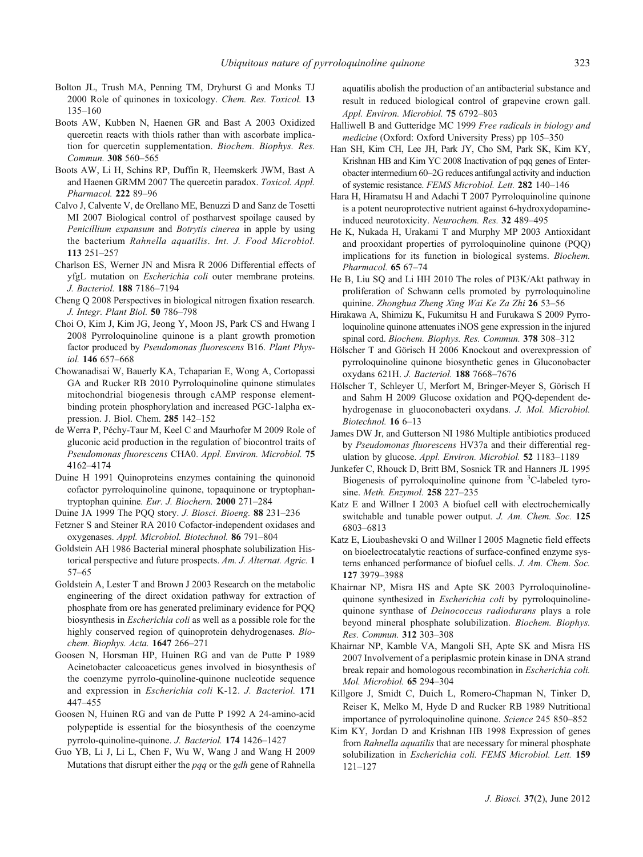- <span id="page-10-0"></span>Bolton JL, Trush MA, Penning TM, Dryhurst G and Monks TJ 2000 Role of quinones in toxicology. Chem. Res. Toxicol. 13 135–160
- Boots AW, Kubben N, Haenen GR and Bast A 2003 Oxidized quercetin reacts with thiols rather than with ascorbate implication for quercetin supplementation. Biochem. Biophys. Res. Commun. 308 560–565
- Boots AW, Li H, Schins RP, Duffin R, Heemskerk JWM, Bast A and Haenen GRMM 2007 The quercetin paradox. Toxicol. Appl. Pharmacol. 222 89–96
- Calvo J, Calvente V, de Orellano ME, Benuzzi D and Sanz de Tosetti MI 2007 Biological control of postharvest spoilage caused by Penicillium expansum and Botrytis cinerea in apple by using the bacterium Rahnella aquatilis. Int. J. Food Microbiol. 113 251–257
- Charlson ES, Werner JN and Misra R 2006 Differential effects of yfgL mutation on Escherichia coli outer membrane proteins. J. Bacteriol. 188 7186–7194
- Cheng Q 2008 Perspectives in biological nitrogen fixation research. J. Integr. Plant Biol. 50 786–798
- Choi O, Kim J, Kim JG, Jeong Y, Moon JS, Park CS and Hwang I 2008 Pyrroloquinoline quinone is a plant growth promotion factor produced by Pseudomonas fluorescens B16. Plant Physiol. 146 657–668
- Chowanadisai W, Bauerly KA, Tchaparian E, Wong A, Cortopassi GA and Rucker RB 2010 Pyrroloquinoline quinone stimulates mitochondrial biogenesis through cAMP response elementbinding protein phosphorylation and increased PGC-1alpha expression. J. Biol. Chem. 285 142–152
- de Werra P, Péchy-Taur M, Keel C and Maurhofer M 2009 Role of gluconic acid production in the regulation of biocontrol traits of Pseudomonas fluorescens CHA0. Appl. Environ. Microbiol. 75 4162–4174
- Duine H 1991 Quinoproteins enzymes containing the quinonoid cofactor pyrroloquinoline quinone, topaquinone or tryptophantryptophan quinine. Eur. J. Biochern. 2000 271–284
- Duine JA 1999 The PQQ story. J. Biosci. Bioeng. 88 231–236
- Fetzner S and Steiner RA 2010 Cofactor-independent oxidases and oxygenases. Appl. Microbiol. Biotechnol. 86 791–804
- Goldstein AH 1986 Bacterial mineral phosphate solubilization Historical perspective and future prospects. Am. J. Alternat. Agric. 1 57–65
- Goldstein A, Lester T and Brown J 2003 Research on the metabolic engineering of the direct oxidation pathway for extraction of phosphate from ore has generated preliminary evidence for PQQ biosynthesis in Escherichia coli as well as a possible role for the highly conserved region of quinoprotein dehydrogenases. Biochem. Biophys. Acta. 1647 266–271
- Goosen N, Horsman HP, Huinen RG and van de Putte P 1989 Acinetobacter calcoaceticus genes involved in biosynthesis of the coenzyme pyrrolo-quinoline-quinone nucleotide sequence and expression in Escherichia coli K-12. J. Bacteriol. 171 447–455
- Goosen N, Huinen RG and van de Putte P 1992 A 24-amino-acid polypeptide is essential for the biosynthesis of the coenzyme pyrrolo-quinoline-quinone. J. Bacteriol. 174 1426–1427
- Guo YB, Li J, Li L, Chen F, Wu W, Wang J and Wang H 2009 Mutations that disrupt either the  $pqq$  or the gdh gene of Rahnella

aquatilis abolish the production of an antibacterial substance and result in reduced biological control of grapevine crown gall. Appl. Environ. Microbiol. 75 6792–803

- Halliwell B and Gutteridge MC 1999 Free radicals in biology and medicine (Oxford: Oxford University Press) pp 105–350
- Han SH, Kim CH, Lee JH, Park JY, Cho SM, Park SK, Kim KY, Krishnan HB and Kim YC 2008 Inactivation of pqq genes of Enterobacter intermedium 60–2G reduces antifungal activity and induction of systemic resistance. FEMS Microbiol. Lett. 282 140–146
- Hara H, Hiramatsu H and Adachi T 2007 Pyrroloquinoline quinone is a potent neuroprotective nutrient against 6-hydroxydopamineinduced neurotoxicity. Neurochem. Res. 32 489–495
- He K, Nukada H, Urakami T and Murphy MP 2003 Antioxidant and prooxidant properties of pyrroloquinoline quinone (PQQ) implications for its function in biological systems. Biochem. Pharmacol. 65 67–74
- He B, Liu SQ and Li HH 2010 The roles of PI3K/Akt pathway in proliferation of Schwann cells promoted by pyrroloquinoline quinine. Zhonghua Zheng Xing Wai Ke Za Zhi 26 53–56
- Hirakawa A, Shimizu K, Fukumitsu H and Furukawa S 2009 Pyrroloquinoline quinone attenuates iNOS gene expression in the injured spinal cord. Biochem. Biophys. Res. Commun. 378 308–312
- Hölscher T and Görisch H 2006 Knockout and overexpression of pyrroloquinoline quinone biosynthetic genes in Gluconobacter oxydans 621H. J. Bacteriol. 188 7668–7676
- Hölscher T, Schleyer U, Merfort M, Bringer-Meyer S, Görisch H and Sahm H 2009 Glucose oxidation and PQQ-dependent dehydrogenase in gluoconobacteri oxydans. J. Mol. Microbiol. Biotechnol. 16 6–13
- James DW Jr, and Gutterson NI 1986 Multiple antibiotics produced by Pseudomonas fluorescens HV37a and their differential regulation by glucose. Appl. Environ. Microbiol. 52 1183–1189
- Junkefer C, Rhouck D, Britt BM, Sosnick TR and Hanners JL 1995 Biogenesis of pyrroloquinoline quinone from <sup>3</sup> C-labeled tyrosine. Meth. Enzymol. 258 227–235
- Katz E and Willner I 2003 A biofuel cell with electrochemically switchable and tunable power output. J. Am. Chem. Soc. 125 6803–6813
- Katz E, Lioubashevski O and Willner I 2005 Magnetic field effects on bioelectrocatalytic reactions of surface-confined enzyme systems enhanced performance of biofuel cells. J. Am. Chem. Soc. 127 3979–3988
- Khairnar NP, Misra HS and Apte SK 2003 Pyrroloquinolinequinone synthesized in Escherichia coli by pyrroloquinolinequinone synthase of Deinococcus radiodurans plays a role beyond mineral phosphate solubilization. Biochem. Biophys. Res. Commun. 312 303–308
- Khairnar NP, Kamble VA, Mangoli SH, Apte SK and Misra HS 2007 Involvement of a periplasmic protein kinase in DNA strand break repair and homologous recombination in Escherichia coli. Mol. Microbiol. 65 294–304
- Killgore J, Smidt C, Duich L, Romero-Chapman N, Tinker D, Reiser K, Melko M, Hyde D and Rucker RB 1989 Nutritional importance of pyrroloquinoline quinone. Science 245 850–852
- Kim KY, Jordan D and Krishnan HB 1998 Expression of genes from Rahnella aquatilis that are necessary for mineral phosphate solubilization in Escherichia coli. FEMS Microbiol. Lett. 159 121–127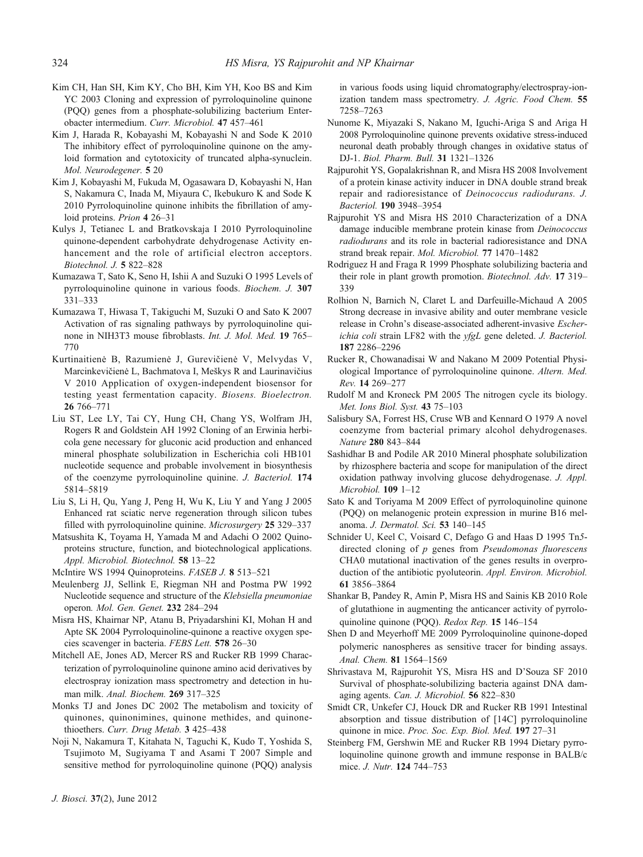- <span id="page-11-0"></span>Kim CH, Han SH, Kim KY, Cho BH, Kim YH, Koo BS and Kim YC 2003 Cloning and expression of pyrroloquinoline quinone (PQQ) genes from a phosphate-solubilizing bacterium Enterobacter intermedium. Curr. Microbiol. 47 457–461
- Kim J, Harada R, Kobayashi M, Kobayashi N and Sode K 2010 The inhibitory effect of pyrroloquinoline quinone on the amyloid formation and cytotoxicity of truncated alpha-synuclein. Mol. Neurodegener. 5 20
- Kim J, Kobayashi M, Fukuda M, Ogasawara D, Kobayashi N, Han S, Nakamura C, Inada M, Miyaura C, Ikebukuro K and Sode K 2010 Pyrroloquinoline quinone inhibits the fibrillation of amyloid proteins. Prion 4 26–31
- Kulys J, Tetianec L and Bratkovskaja I 2010 Pyrroloquinoline quinone-dependent carbohydrate dehydrogenase Activity enhancement and the role of artificial electron acceptors. Biotechnol. J. 5 822–828
- Kumazawa T, Sato K, Seno H, Ishii A and Suzuki O 1995 Levels of pyrroloquinoline quinone in various foods. Biochem. J. 307 331–333
- Kumazawa T, Hiwasa T, Takiguchi M, Suzuki O and Sato K 2007 Activation of ras signaling pathways by pyrroloquinoline quinone in NIH3T3 mouse fibroblasts. Int. J. Mol. Med. 19 765– 770
- Kurtinaitienė B, Razumienė J, Gurevičienė V, Melvydas V, Marcinkevičienė L, Bachmatova I, Meškys R and Laurinavičius V 2010 Application of oxygen-independent biosensor for testing yeast fermentation capacity. Biosens. Bioelectron. 26 766–771
- Liu ST, Lee LY, Tai CY, Hung CH, Chang YS, Wolfram JH, Rogers R and Goldstein AH 1992 Cloning of an Erwinia herbicola gene necessary for gluconic acid production and enhanced mineral phosphate solubilization in Escherichia coli HB101 nucleotide sequence and probable involvement in biosynthesis of the coenzyme pyrroloquinoline quinine. J. Bacteriol. 174 5814–5819
- Liu S, Li H, Qu, Yang J, Peng H, Wu K, Liu Y and Yang J 2005 Enhanced rat sciatic nerve regeneration through silicon tubes filled with pyrroloquinoline quinine. Microsurgery 25 329–337
- Matsushita K, Toyama H, Yamada M and Adachi O 2002 Quinoproteins structure, function, and biotechnological applications. Appl. Microbiol. Biotechnol. 58 13–22
- McIntire WS 1994 Quinoproteins. FASEB J. 8 513–521
- Meulenberg JJ, Sellink E, Riegman NH and Postma PW 1992 Nucleotide sequence and structure of the Klebsiella pneumoniae operon. Mol. Gen. Genet. 232 284–294
- Misra HS, Khairnar NP, Atanu B, Priyadarshini KI, Mohan H and Apte SK 2004 Pyrroloquinoline-quinone a reactive oxygen species scavenger in bacteria. FEBS Lett. 578 26–30
- Mitchell AE, Jones AD, Mercer RS and Rucker RB 1999 Characterization of pyrroloquinoline quinone amino acid derivatives by electrospray ionization mass spectrometry and detection in human milk. Anal. Biochem. 269 317–325
- Monks TJ and Jones DC 2002 The metabolism and toxicity of quinones, quinonimines, quinone methides, and quinonethioethers. Curr. Drug Metab. 3 425–438
- Noji N, Nakamura T, Kitahata N, Taguchi K, Kudo T, Yoshida S, Tsujimoto M, Sugiyama T and Asami T 2007 Simple and sensitive method for pyrroloquinoline quinone (PQQ) analysis

in various foods using liquid chromatography/electrospray-ionization tandem mass spectrometry. J. Agric. Food Chem. 55 7258–7263

- Nunome K, Miyazaki S, Nakano M, Iguchi-Ariga S and Ariga H 2008 Pyrroloquinoline quinone prevents oxidative stress-induced neuronal death probably through changes in oxidative status of DJ-1. Biol. Pharm. Bull. 31 1321–1326
- Rajpurohit YS, Gopalakrishnan R, and Misra HS 2008 Involvement of a protein kinase activity inducer in DNA double strand break repair and radioresistance of Deinococcus radiodurans. J. Bacteriol. 190 3948–3954
- Rajpurohit YS and Misra HS 2010 Characterization of a DNA damage inducible membrane protein kinase from Deinococcus radiodurans and its role in bacterial radioresistance and DNA strand break repair. Mol. Microbiol. 77 1470–1482
- Rodriguez H and Fraga R 1999 Phosphate solubilizing bacteria and their role in plant growth promotion. Biotechnol. Adv. 17 319– 339
- Rolhion N, Barnich N, Claret L and Darfeuille-Michaud A 2005 Strong decrease in invasive ability and outer membrane vesicle release in Crohn's disease-associated adherent-invasive Escherichia coli strain LF82 with the yfgL gene deleted. J. Bacteriol. 187 2286–2296
- Rucker R, Chowanadisai W and Nakano M 2009 Potential Physiological Importance of pyrroloquinoline quinone. Altern. Med. Rev. 14 269–277
- Rudolf M and Kroneck PM 2005 The nitrogen cycle its biology. Met. Ions Biol. Syst. 43 75–103
- Salisbury SA, Forrest HS, Cruse WB and Kennard O 1979 A novel coenzyme from bacterial primary alcohol dehydrogenases. Nature 280 843–844
- Sashidhar B and Podile AR 2010 Mineral phosphate solubilization by rhizosphere bacteria and scope for manipulation of the direct oxidation pathway involving glucose dehydrogenase. J. Appl. Microbiol. 109 1–12
- Sato K and Toriyama M 2009 Effect of pyrroloquinoline quinone (PQQ) on melanogenic protein expression in murine B16 melanoma. J. Dermatol. Sci. 53 140–145
- Schnider U, Keel C, Voisard C, Defago G and Haas D 1995 Tn5 directed cloning of p genes from Pseudomonas fluorescens CHA0 mutational inactivation of the genes results in overproduction of the antibiotic pyoluteorin. Appl. Environ. Microbiol. 61 3856–3864
- Shankar B, Pandey R, Amin P, Misra HS and Sainis KB 2010 Role of glutathione in augmenting the anticancer activity of pyrroloquinoline quinone (PQQ). Redox Rep. 15 146–154
- Shen D and Meyerhoff ME 2009 Pyrroloquinoline quinone-doped polymeric nanospheres as sensitive tracer for binding assays. Anal. Chem. 81 1564–1569
- Shrivastava M, Rajpurohit YS, Misra HS and D'Souza SF 2010 Survival of phosphate-solubilizing bacteria against DNA damaging agents. Can. J. Microbiol. 56 822–830
- Smidt CR, Unkefer CJ, Houck DR and Rucker RB 1991 Intestinal absorption and tissue distribution of [14C] pyrroloquinoline quinone in mice. Proc. Soc. Exp. Biol. Med. 197 27–31
- Steinberg FM, Gershwin ME and Rucker RB 1994 Dietary pyrroloquinoline quinone growth and immune response in BALB/c mice. J. Nutr. 124 744–753